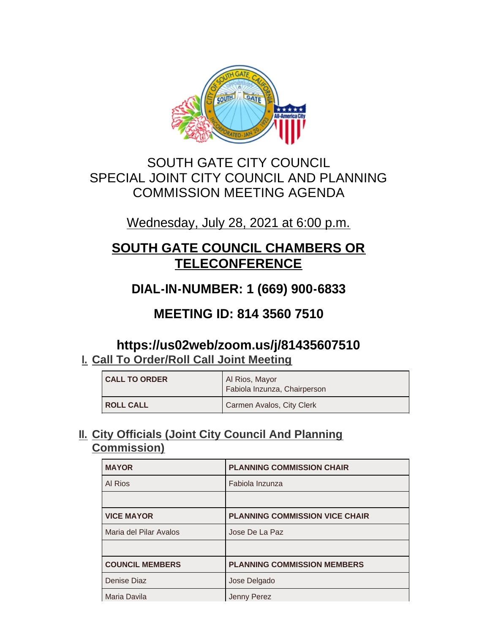

## SOUTH GATE CITY COUNCIL SPECIAL JOINT CITY COUNCIL AND PLANNING COMMISSION MEETING AGENDA

## Wednesday, July 28, 2021 at 6:00 p.m.

# **SOUTH GATE COUNCIL CHAMBERS OR TELECONFERENCE**

## **DIAL-IN-NUMBER: 1 (669) 900-6833**

## **MEETING ID: 814 3560 7510**

## **https://us02web/zoom.us/j/81435607510 Call To Order/Roll Call Joint Meeting I.**

| <b>CALL TO ORDER</b> | Al Rios, Mayor<br>Fabiola Inzunza, Chairperson |
|----------------------|------------------------------------------------|
| <b>ROLL CALL</b>     | Carmen Avalos, City Clerk                      |

## **City Officials (Joint City Council And Planning II. Commission)**

| <b>MAYOR</b>           | <b>PLANNING COMMISSION CHAIR</b>      |
|------------------------|---------------------------------------|
| Al Rios                | Fabiola Inzunza                       |
|                        |                                       |
| <b>VICE MAYOR</b>      | <b>PLANNING COMMISSION VICE CHAIR</b> |
| Maria del Pilar Avalos | Jose De La Paz                        |
|                        |                                       |
| <b>COUNCIL MEMBERS</b> | <b>PLANNING COMMISSION MEMBERS</b>    |
| Denise Diaz            | Jose Delgado                          |
| Maria Davila           | Jenny Perez                           |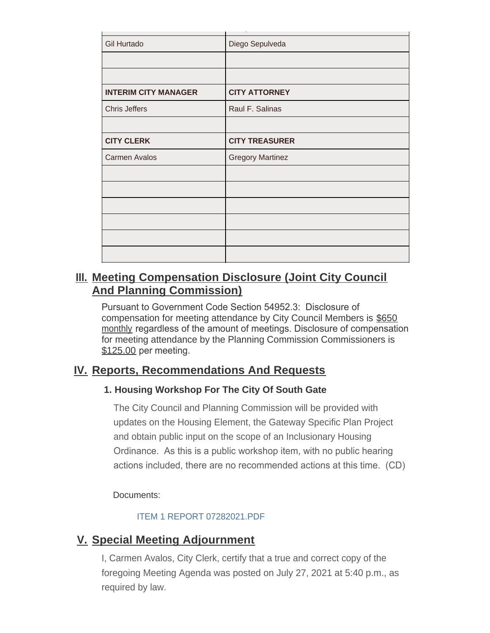| Gil Hurtado                 | Diego Sepulveda         |
|-----------------------------|-------------------------|
|                             |                         |
|                             |                         |
| <b>INTERIM CITY MANAGER</b> | <b>CITY ATTORNEY</b>    |
| <b>Chris Jeffers</b>        | Raul F. Salinas         |
|                             |                         |
| <b>CITY CLERK</b>           | <b>CITY TREASURER</b>   |
| <b>Carmen Avalos</b>        | <b>Gregory Martinez</b> |
|                             |                         |
|                             |                         |
|                             |                         |
|                             |                         |
|                             |                         |
|                             |                         |

## **Meeting Compensation Disclosure (Joint City Council III. And Planning Commission)**

Pursuant to Government Code Section 54952.3: Disclosure of compensation for meeting attendance by City Council Members is \$650 monthly regardless of the amount of meetings. Disclosure of compensation for meeting attendance by the Planning Commission Commissioners is \$125.00 per meeting.

### **Reports, Recommendations And Requests IV.**

#### **1. Housing Workshop For The City Of South Gate**

The City Council and Planning Commission will be provided with updates on the Housing Element, the Gateway Specific Plan Project and obtain public input on the scope of an Inclusionary Housing Ordinance. As this is a public workshop item, with no public hearing actions included, there are no recommended actions at this time. (CD)

Documents:

#### ITEM 1 REPORT 07282021.PDF

### **Special Meeting Adjournment V.**

I, Carmen Avalos, City Clerk, certify that a true and correct copy of the foregoing Meeting Agenda was posted on July 27, 2021 at 5:40 p.m., as required by law.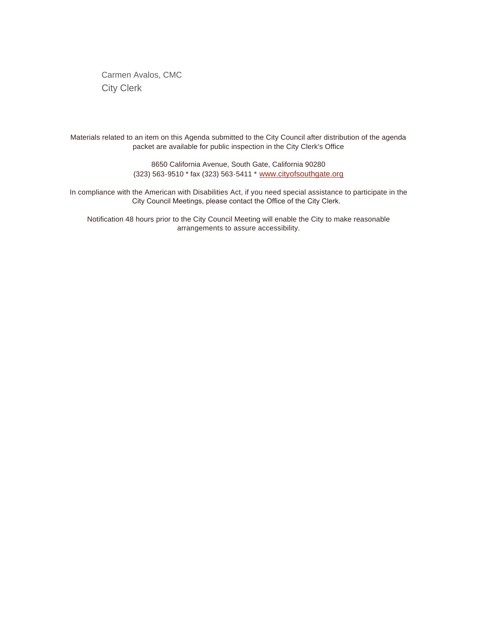Carmen Avalos, CMC City Clerk

Materials related to an item on this Agenda submitted to the City Council after distribution of the agenda packet are available for public inspection in the City Clerk's Office

> 8650 California Avenue, South Gate, California 90280 (323) 563-9510 \* fax (323) 563-5411 \* [www.cityofsouthgate.org](http://www.cityofsouthgate.org/)

In compliance with the American with Disabilities Act, if you need special assistance to participate in the City Council Meetings, please contact the Office of the City Clerk.

Notification 48 hours prior to the City Council Meeting will enable the City to make reasonable arrangements to assure accessibility.